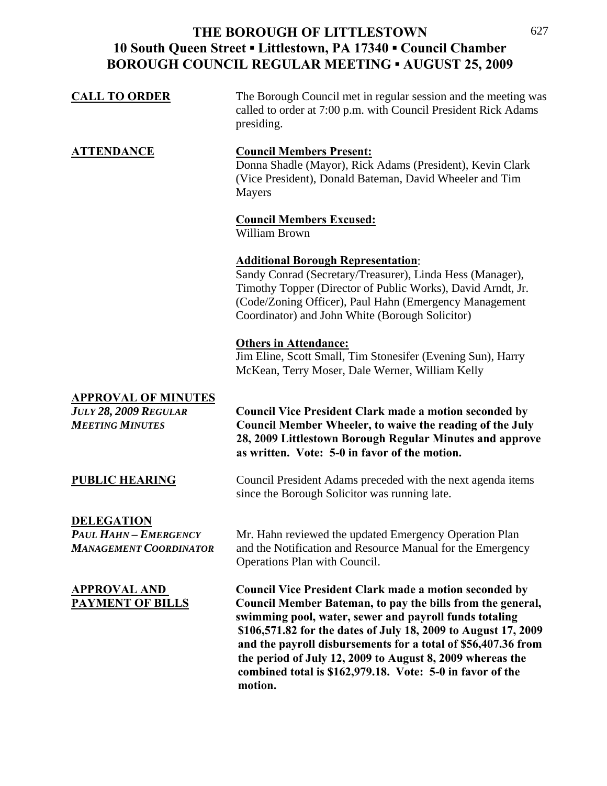| <b>CALL TO ORDER</b> | The Borough Council met in regular session and the meeting was<br>called to order at 7:00 p.m. with Council President Rick Adams<br>presiding.                    |
|----------------------|-------------------------------------------------------------------------------------------------------------------------------------------------------------------|
| <b>ATTENDANCE</b>    | <b>Council Members Present:</b><br>Donna Shadle (Mayor), Rick Adams (President), Kevin Clark<br>(Vice President), Donald Bateman, David Wheeler and Tim<br>Mayers |
|                      | <b>Council Members Excused:</b>                                                                                                                                   |
|                      | William Brown                                                                                                                                                     |
|                      | <b>Additional Borough Representation:</b>                                                                                                                         |
|                      | Sandy Conrad (Secretary/Treasurer), Linda Hess (Manager),                                                                                                         |
|                      | Timothy Topper (Director of Public Works), David Arndt, Jr.                                                                                                       |
|                      | (Code/Zoning Officer), Paul Hahn (Emergency Management                                                                                                            |
|                      | Coordinator) and John White (Borough Solicitor)                                                                                                                   |
|                      | <b>Others in Attendance:</b>                                                                                                                                      |

Jim Eline, Scott Small, Tim Stonesifer (Evening Sun), Harry McKean, Terry Moser, Dale Werner, William Kelly

## **APPROVAL OF MINUTES**

*JULY 28, 2009 REGULAR* **Council Vice President Clark made a motion seconded by**  *MEETING MINUTES* **Council Member Wheeler, to waive the reading of the July 28, 2009 Littlestown Borough Regular Minutes and approve as written. Vote: 5-0 in favor of the motion.** 

**PUBLIC HEARING** Council President Adams preceded with the next agenda items since the Borough Solicitor was running late.

**DELEGATION**

*PAUL HAHN – EMERGENCY* Mr. Hahn reviewed the updated Emergency Operation Plan *MANAGEMENT COORDINATOR* and the Notification and Resource Manual for the Emergency Operations Plan with Council.

**APPROVAL AND Council Vice President Clark made a motion seconded by PAYMENT OF BILLS Council Member Bateman, to pay the bills from the general, swimming pool, water, sewer and payroll funds totaling \$106,571.82 for the dates of July 18, 2009 to August 17, 2009 and the payroll disbursements for a total of \$56,407.36 from the period of July 12, 2009 to August 8, 2009 whereas the combined total is \$162,979.18. Vote: 5-0 in favor of the motion.**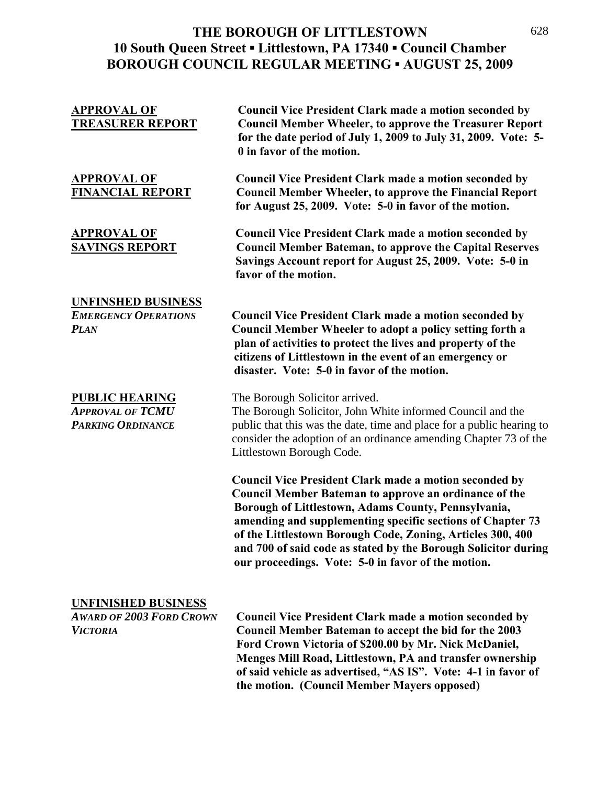| <b>APPROVAL OF</b><br><b>TREASURER REPORT</b>                                    | <b>Council Vice President Clark made a motion seconded by</b><br><b>Council Member Wheeler, to approve the Treasurer Report</b><br>for the date period of July 1, 2009 to July 31, 2009. Vote: 5-<br>0 in favor of the motion.                                                                                                                                                                                                           |
|----------------------------------------------------------------------------------|------------------------------------------------------------------------------------------------------------------------------------------------------------------------------------------------------------------------------------------------------------------------------------------------------------------------------------------------------------------------------------------------------------------------------------------|
| <b>APPROVAL OF</b><br><b>FINANCIAL REPORT</b>                                    | <b>Council Vice President Clark made a motion seconded by</b><br><b>Council Member Wheeler, to approve the Financial Report</b><br>for August 25, 2009. Vote: 5-0 in favor of the motion.                                                                                                                                                                                                                                                |
| <u>APPROVAL OF</u><br><b>SAVINGS REPORT</b>                                      | <b>Council Vice President Clark made a motion seconded by</b><br><b>Council Member Bateman, to approve the Capital Reserves</b><br>Savings Account report for August 25, 2009. Vote: 5-0 in<br>favor of the motion.                                                                                                                                                                                                                      |
|                                                                                  |                                                                                                                                                                                                                                                                                                                                                                                                                                          |
| <b>UNFINSHED BUSINESS</b><br><b>EMERGENCY OPERATIONS</b><br><b>PLAN</b>          | <b>Council Vice President Clark made a motion seconded by</b><br><b>Council Member Wheeler to adopt a policy setting forth a</b><br>plan of activities to protect the lives and property of the<br>citizens of Littlestown in the event of an emergency or<br>disaster. Vote: 5-0 in favor of the motion.                                                                                                                                |
| <b>PUBLIC HEARING</b><br>Approval of TCMU<br>PARKING ORDINANCE                   | The Borough Solicitor arrived.<br>The Borough Solicitor, John White informed Council and the<br>public that this was the date, time and place for a public hearing to<br>consider the adoption of an ordinance amending Chapter 73 of the<br>Littlestown Borough Code.                                                                                                                                                                   |
|                                                                                  | <b>Council Vice President Clark made a motion seconded by</b><br><b>Council Member Bateman to approve an ordinance of the</b><br>Borough of Littlestown, Adams County, Pennsylvania,<br>amending and supplementing specific sections of Chapter 73<br>of the Littlestown Borough Code, Zoning, Articles 300, 400<br>and 700 of said code as stated by the Borough Solicitor during<br>our proceedings. Vote: 5-0 in favor of the motion. |
| <u>UNFINISHED BUSINESS</u><br><b>AWARD OF 2003 FORD CROWN</b><br><b>VICTORIA</b> | <b>Council Vice President Clark made a motion seconded by</b><br><b>Council Member Bateman to accept the bid for the 2003</b><br>Ford Crown Victoria of \$200.00 by Mr. Nick McDaniel,                                                                                                                                                                                                                                                   |
|                                                                                  | Menges Mill Road, Littlestown, PA and transfer ownership<br>of said vehicle as advertised, "AS IS". Vote: 4-1 in favor of<br>the motion. (Council Member Mayers opposed)                                                                                                                                                                                                                                                                 |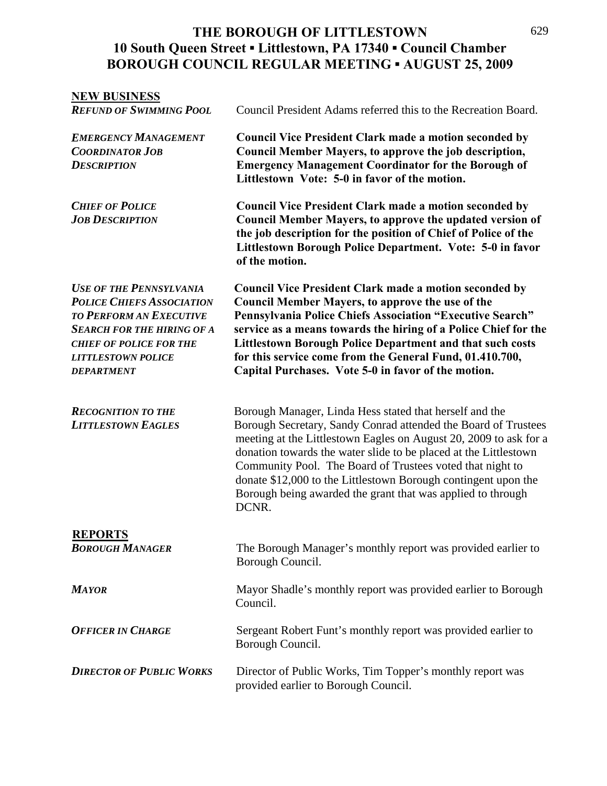| <b>NEW BUSINESS</b>                                                                                                                                                                                                           |                                                                                                                                                                                                                                                                                                                                                                                                                                                                           |
|-------------------------------------------------------------------------------------------------------------------------------------------------------------------------------------------------------------------------------|---------------------------------------------------------------------------------------------------------------------------------------------------------------------------------------------------------------------------------------------------------------------------------------------------------------------------------------------------------------------------------------------------------------------------------------------------------------------------|
| <b>REFUND OF SWIMMING POOL</b>                                                                                                                                                                                                | Council President Adams referred this to the Recreation Board.                                                                                                                                                                                                                                                                                                                                                                                                            |
| <b>EMERGENCY MANAGEMENT</b><br><b>COORDINATOR JOB</b><br><b>DESCRIPTION</b>                                                                                                                                                   | <b>Council Vice President Clark made a motion seconded by</b><br>Council Member Mayers, to approve the job description,<br><b>Emergency Management Coordinator for the Borough of</b><br>Littlestown Vote: 5-0 in favor of the motion.                                                                                                                                                                                                                                    |
| <b>CHIEF OF POLICE</b><br><b>JOB DESCRIPTION</b>                                                                                                                                                                              | <b>Council Vice President Clark made a motion seconded by</b><br>Council Member Mayers, to approve the updated version of<br>the job description for the position of Chief of Police of the<br>Littlestown Borough Police Department. Vote: 5-0 in favor<br>of the motion.                                                                                                                                                                                                |
| <b>USE OF THE PENNSYLVANIA</b><br><b>POLICE CHIEFS ASSOCIATION</b><br><b>TO PERFORM AN EXECUTIVE</b><br><b>SEARCH FOR THE HIRING OF A</b><br><b>CHIEF OF POLICE FOR THE</b><br><b>LITTLESTOWN POLICE</b><br><b>DEPARTMENT</b> | <b>Council Vice President Clark made a motion seconded by</b><br><b>Council Member Mayers, to approve the use of the</b><br>Pennsylvania Police Chiefs Association "Executive Search"<br>service as a means towards the hiring of a Police Chief for the<br><b>Littlestown Borough Police Department and that such costs</b><br>for this service come from the General Fund, 01.410.700,<br>Capital Purchases. Vote 5-0 in favor of the motion.                           |
| <b>RECOGNITION TO THE</b><br><b>LITTLESTOWN EAGLES</b>                                                                                                                                                                        | Borough Manager, Linda Hess stated that herself and the<br>Borough Secretary, Sandy Conrad attended the Board of Trustees<br>meeting at the Littlestown Eagles on August 20, 2009 to ask for a<br>donation towards the water slide to be placed at the Littlestown<br>Community Pool. The Board of Trustees voted that night to<br>donate \$12,000 to the Littlestown Borough contingent upon the<br>Borough being awarded the grant that was applied to through<br>DCNR. |
| <b>REPORTS</b><br><b>BOROUGH MANAGER</b>                                                                                                                                                                                      | The Borough Manager's monthly report was provided earlier to<br>Borough Council.                                                                                                                                                                                                                                                                                                                                                                                          |
| <b>MAYOR</b>                                                                                                                                                                                                                  | Mayor Shadle's monthly report was provided earlier to Borough<br>Council.                                                                                                                                                                                                                                                                                                                                                                                                 |
| <b>OFFICER IN CHARGE</b>                                                                                                                                                                                                      | Sergeant Robert Funt's monthly report was provided earlier to<br>Borough Council.                                                                                                                                                                                                                                                                                                                                                                                         |
| <b>DIRECTOR OF PUBLIC WORKS</b>                                                                                                                                                                                               | Director of Public Works, Tim Topper's monthly report was<br>provided earlier to Borough Council.                                                                                                                                                                                                                                                                                                                                                                         |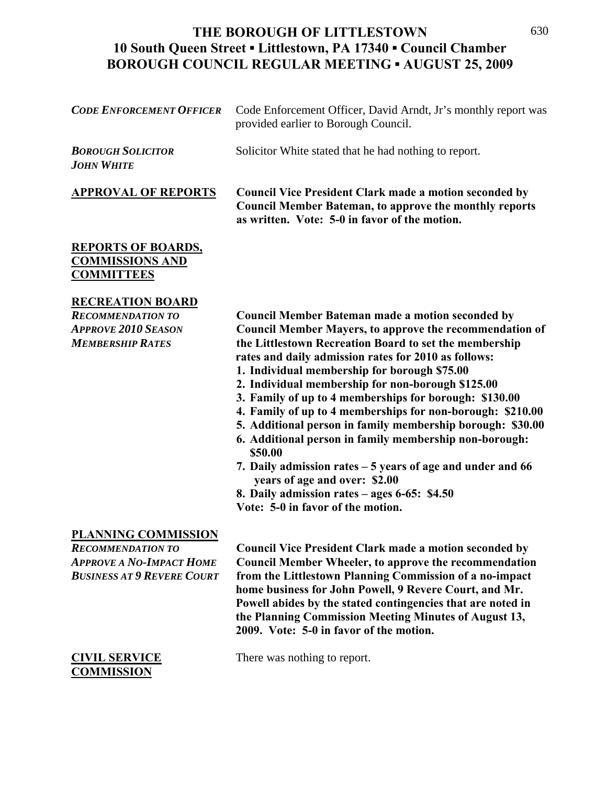| <b>CODE ENFORCEMENT OFFICER</b>                                                                                                | Code Enforcement Officer, David Arndt, Jr's monthly report was<br>provided earlier to Borough Council.                                                                                                                                                                                                                                                                                                                                                                                                                                                                                                                                                                                                                                                                                            |
|--------------------------------------------------------------------------------------------------------------------------------|---------------------------------------------------------------------------------------------------------------------------------------------------------------------------------------------------------------------------------------------------------------------------------------------------------------------------------------------------------------------------------------------------------------------------------------------------------------------------------------------------------------------------------------------------------------------------------------------------------------------------------------------------------------------------------------------------------------------------------------------------------------------------------------------------|
| <b>BOROUGH SOLICITOR</b><br><b>JOHN WHITE</b>                                                                                  | Solicitor White stated that he had nothing to report.                                                                                                                                                                                                                                                                                                                                                                                                                                                                                                                                                                                                                                                                                                                                             |
| <b>APPROVAL OF REPORTS</b>                                                                                                     | <b>Council Vice President Clark made a motion seconded by</b><br><b>Council Member Bateman, to approve the monthly reports</b><br>as written. Vote: 5-0 in favor of the motion.                                                                                                                                                                                                                                                                                                                                                                                                                                                                                                                                                                                                                   |
| <b>REPORTS OF BOARDS,</b><br><b>COMMISSIONS AND</b><br><b>COMMITTEES</b>                                                       |                                                                                                                                                                                                                                                                                                                                                                                                                                                                                                                                                                                                                                                                                                                                                                                                   |
| <b>RECREATION BOARD</b><br><b>RECOMMENDATION TO</b><br><b>APPROVE 2010 SEASON</b><br><b>MEMBERSHIP RATES</b>                   | <b>Council Member Bateman made a motion seconded by</b><br><b>Council Member Mayers, to approve the recommendation of</b><br>the Littlestown Recreation Board to set the membership<br>rates and daily admission rates for 2010 as follows:<br>1. Individual membership for borough \$75.00<br>2. Individual membership for non-borough \$125.00<br>3. Family of up to 4 memberships for borough: \$130.00<br>4. Family of up to 4 memberships for non-borough: \$210.00<br>5. Additional person in family membership borough: \$30.00<br>6. Additional person in family membership non-borough:<br>\$50.00<br>7. Daily admission rates - 5 years of age and under and 66<br>years of age and over: \$2.00<br>8. Daily admission rates $-$ ages 6-65: \$4.50<br>Vote: 5-0 in favor of the motion. |
| <b>PLANNING COMMISSION</b><br><b>RECOMMENDATION TO</b><br><b>APPROVE A NO-IMPACT HOME</b><br><b>BUSINESS AT 9 REVERE COURT</b> | <b>Council Vice President Clark made a motion seconded by</b><br><b>Council Member Wheeler, to approve the recommendation</b><br>from the Littlestown Planning Commission of a no-impact                                                                                                                                                                                                                                                                                                                                                                                                                                                                                                                                                                                                          |

**COMMISSION** 

**2009. Vote: 5-0 in favor of the motion.** 

**home business for John Powell, 9 Revere Court, and Mr. Powell abides by the stated contingencies that are noted in the Planning Commission Meeting Minutes of August 13,** 

## **CIVIL SERVICE** There was nothing to report.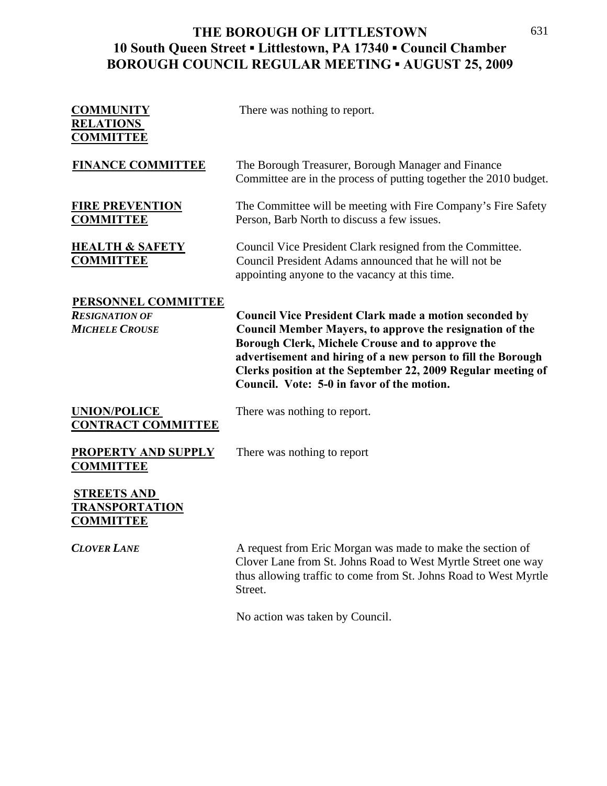| <b>COMMUNITY</b><br><b>RELATIONS</b><br><b>COMMITTEE</b>              | There was nothing to report.                                                                                                                                                                                                                                                                                                                                       |
|-----------------------------------------------------------------------|--------------------------------------------------------------------------------------------------------------------------------------------------------------------------------------------------------------------------------------------------------------------------------------------------------------------------------------------------------------------|
| <b>FINANCE COMMITTEE</b>                                              | The Borough Treasurer, Borough Manager and Finance<br>Committee are in the process of putting together the 2010 budget.                                                                                                                                                                                                                                            |
| <b>FIRE PREVENTION</b><br><b>COMMITTEE</b>                            | The Committee will be meeting with Fire Company's Fire Safety<br>Person, Barb North to discuss a few issues.                                                                                                                                                                                                                                                       |
| <b>HEALTH &amp; SAFETY</b><br><b>COMMITTEE</b>                        | Council Vice President Clark resigned from the Committee.<br>Council President Adams announced that he will not be<br>appointing anyone to the vacancy at this time.                                                                                                                                                                                               |
| PERSONNEL COMMITTEE<br><b>RESIGNATION OF</b><br><b>MICHELE CROUSE</b> | <b>Council Vice President Clark made a motion seconded by</b><br><b>Council Member Mayers, to approve the resignation of the</b><br>Borough Clerk, Michele Crouse and to approve the<br>advertisement and hiring of a new person to fill the Borough<br>Clerks position at the September 22, 2009 Regular meeting of<br>Council. Vote: 5-0 in favor of the motion. |
| <b>UNION/POLICE</b><br><b>CONTRACT COMMITTEE</b>                      | There was nothing to report.                                                                                                                                                                                                                                                                                                                                       |
| <b>PROPERTY AND SUPPLY</b><br><b>COMMITTEE</b>                        | There was nothing to report                                                                                                                                                                                                                                                                                                                                        |
| <b>STREETS AND</b><br>TRANSPORTATION<br><b>COMMITTEE</b>              |                                                                                                                                                                                                                                                                                                                                                                    |

**CLOVER LANE** A request from Eric Morgan was made to make the section of Clover Lane from St. Johns Road to West Myrtle Street one way thus allowing traffic to come from St. Johns Road to West Myrtle Street.

No action was taken by Council.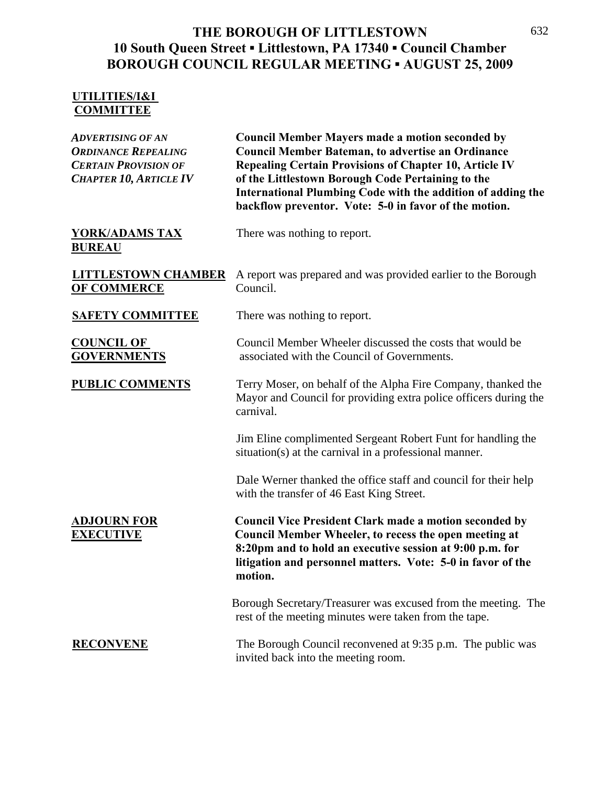## **UTILITIES/I&I COMMITTEE**

| <b>ADVERTISING OF AN</b><br><b>ORDINANCE REPEALING</b><br><b>CERTAIN PROVISION OF</b><br><b>CHAPTER 10, ARTICLE IV</b> | <b>Council Member Mayers made a motion seconded by</b><br><b>Council Member Bateman, to advertise an Ordinance</b><br><b>Repealing Certain Provisions of Chapter 10, Article IV</b><br>of the Littlestown Borough Code Pertaining to the<br>International Plumbing Code with the addition of adding the<br>backflow preventor. Vote: 5-0 in favor of the motion. |
|------------------------------------------------------------------------------------------------------------------------|------------------------------------------------------------------------------------------------------------------------------------------------------------------------------------------------------------------------------------------------------------------------------------------------------------------------------------------------------------------|
| <b>YORK/ADAMS TAX</b><br><b>BUREAU</b>                                                                                 | There was nothing to report.                                                                                                                                                                                                                                                                                                                                     |
| <b>LITTLESTOWN CHAMBER</b><br><b>OF COMMERCE</b>                                                                       | A report was prepared and was provided earlier to the Borough<br>Council.                                                                                                                                                                                                                                                                                        |
| <b>SAFETY COMMITTEE</b>                                                                                                | There was nothing to report.                                                                                                                                                                                                                                                                                                                                     |
| <b>COUNCIL OF</b><br><b>GOVERNMENTS</b>                                                                                | Council Member Wheeler discussed the costs that would be<br>associated with the Council of Governments.                                                                                                                                                                                                                                                          |
| <b>PUBLIC COMMENTS</b>                                                                                                 | Terry Moser, on behalf of the Alpha Fire Company, thanked the<br>Mayor and Council for providing extra police officers during the<br>carnival.                                                                                                                                                                                                                   |
|                                                                                                                        | Jim Eline complimented Sergeant Robert Funt for handling the<br>situation(s) at the carnival in a professional manner.                                                                                                                                                                                                                                           |
|                                                                                                                        | Dale Werner thanked the office staff and council for their help<br>with the transfer of 46 East King Street.                                                                                                                                                                                                                                                     |
| <b>ADJOURN FOR</b><br><b>EXECUTIVE</b>                                                                                 | <b>Council Vice President Clark made a motion seconded by</b><br><b>Council Member Wheeler, to recess the open meeting at</b><br>8:20pm and to hold an executive session at 9:00 p.m. for<br>litigation and personnel matters. Vote: 5-0 in favor of the<br>motion.                                                                                              |
|                                                                                                                        | Borough Secretary/Treasurer was excused from the meeting. The<br>rest of the meeting minutes were taken from the tape.                                                                                                                                                                                                                                           |
| <b>RECONVENE</b>                                                                                                       | The Borough Council reconvened at 9:35 p.m. The public was<br>invited back into the meeting room.                                                                                                                                                                                                                                                                |